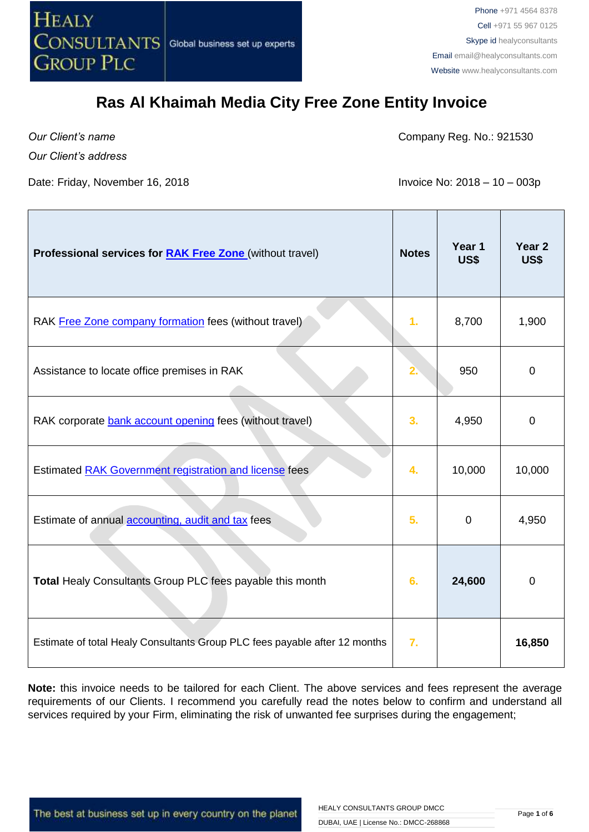

*Our Client's name*

Company Reg. No.: 921530

*Our Client's address*

Date: Friday, November 16, 2018 **Invoice No: 2018** - 10 – 003p

⊤

| Professional services for <b>RAK Free Zone</b> (without travel)            | <b>Notes</b>   | Year 1<br>US\$ | Year <sub>2</sub><br>US\$ |
|----------------------------------------------------------------------------|----------------|----------------|---------------------------|
| RAK Free Zone company formation fees (without travel)                      | 1.             | 8,700          | 1,900                     |
| Assistance to locate office premises in RAK                                | 2.             | 950            | $\overline{0}$            |
| RAK corporate bank account opening fees (without travel)                   | 3.             | 4,950          | $\mathbf 0$               |
| Estimated RAK Government registration and license fees                     | 4.             | 10,000         | 10,000                    |
| Estimate of annual accounting, audit and tax fees                          | 5 <sub>1</sub> | $\mathbf 0$    | 4,950                     |
| Total Healy Consultants Group PLC fees payable this month                  | 6.             | 24,600         | $\mathbf 0$               |
| Estimate of total Healy Consultants Group PLC fees payable after 12 months | 7.             |                | 16,850                    |

**Note:** this invoice needs to be tailored for each Client. The above services and fees represent the average requirements of our Clients. I recommend you carefully read the notes below to confirm and understand all services required by your Firm, eliminating the risk of unwanted fee surprises during the engagement;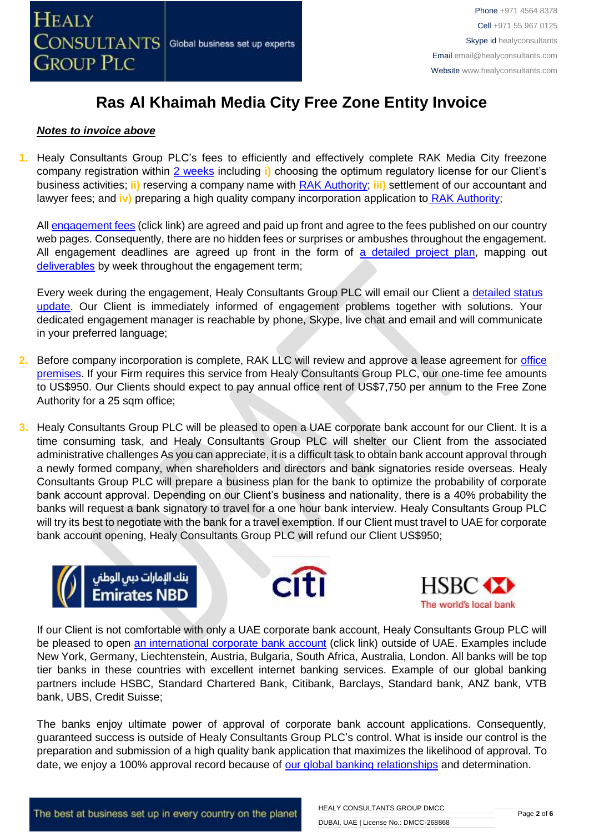

### *Notes to invoice above*

**1.** Healy Consultants Group PLC's fees to efficiently and effectively complete RAK Media City freezone company registration within [2 weeks](http://www.healyconsultants.com/ras-al-khaimah-free-zone/fees-timelines/#timelines) including **i)** choosing the optimum regulatory license for our Client's business activities; **ii)** reserving a company name with [RAK Authority;](http://rakftz.com/) **iii)** settlement of our accountant and lawyer fees; and **iv)** preparing a high quality company incorporation application to [RAK Authority;](http://rakftz.com/)

All [engagement fees](http://www.healyconsultants.com/company-registration-fees/) (click link) are agreed and paid up front and agree to the fees published on our country web pages. Consequently, there are no hidden fees or surprises or ambushes throughout the engagement. All engagement deadlines are agreed up front in the form of [a detailed project plan,](http://www.healyconsultants.com/index-important-links/example-project-plan/) mapping out [deliverables](http://www.healyconsultants.com/deliverables-to-our-clients/) by week throughout the engagement term;

Every week during the engagement, Healy Consultants Group PLC will email our Client a detailed status [update.](http://www.healyconsultants.com/index-important-links/weekly-engagement-status-email/) Our Client is immediately informed of engagement problems together with solutions. Your dedicated engagement manager is reachable by phone, Skype, live chat and email and will communicate in your preferred language;

- **2.** Before company incorporation is complete, RAK LLC will review and approve a lease agreement for [office](http://www.rakia.ae/Company-Formation/Facilities)  [premises.](http://www.rakia.ae/Company-Formation/Facilities) If your Firm requires this service from Healy Consultants Group PLC, our one-time fee amounts to US\$950. Our Clients should expect to pay annual office rent of US\$7,750 per annum to the Free Zone Authority for a 25 sqm office;
- **3.** Healy Consultants Group PLC will be pleased to open a UAE corporate bank account for our Client. It is a time consuming task, and Healy Consultants Group PLC will shelter our Client from the associated administrative challenges As you can appreciate, it is a difficult task to obtain bank account approval through a newly formed company, when shareholders and directors and bank signatories reside overseas. Healy Consultants Group PLC will prepare a business plan for the bank to optimize the probability of corporate bank account approval. Depending on our Client's business and nationality, there is a 40% probability the banks will request a bank signatory to travel for a one hour bank interview. Healy Consultants Group PLC will try its best to negotiate with the bank for a travel exemption. If our Client must travel to UAE for corporate bank account opening, Healy Consultants Group PLC will refund our Client US\$950;







If our Client is not comfortable with only a UAE corporate bank account, Healy Consultants Group PLC will be pleased to open [an international corporate bank account](http://www.healyconsultants.com/international-banking/) (click link) outside of UAE. Examples include New York, Germany, Liechtenstein, Austria, Bulgaria, South Africa, Australia, London. All banks will be top tier banks in these countries with excellent internet banking services. Example of our global banking partners include HSBC, Standard Chartered Bank, Citibank, Barclays, Standard bank, ANZ bank, VTB bank, UBS, Credit Suisse;

The banks enjoy ultimate power of approval of corporate bank account applications. Consequently, guaranteed success is outside of Healy Consultants Group PLC's control. What is inside our control is the preparation and submission of a high quality bank application that maximizes the likelihood of approval. To date, we enjoy a 100% approval record because of [our global banking relationships](http://www.healyconsultants.com/international-banking/corporate-accounts/) and determination.

The best at business set up in every country on the planet

HEALY CONSULTANTS GROUP DMCC DUBAI, UAE | License No.: DMCC-268868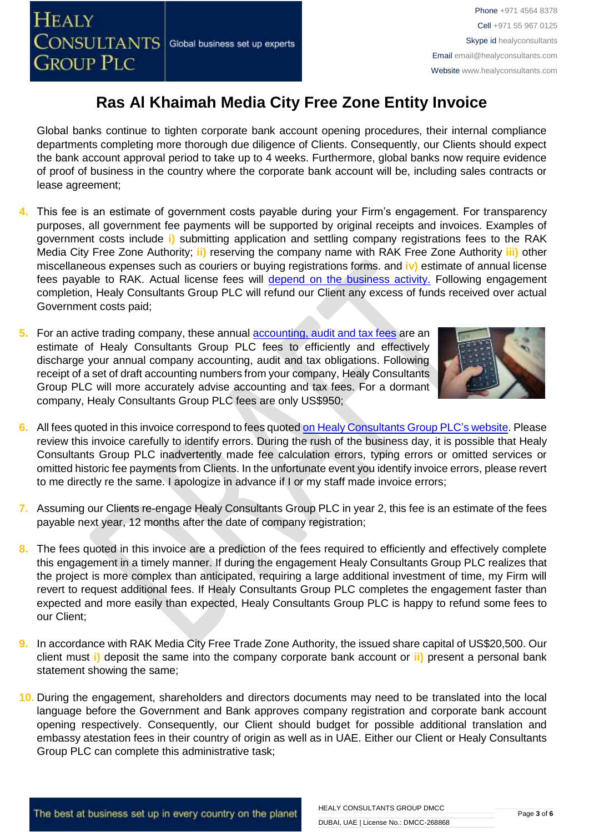Global banks continue to tighten corporate bank account opening procedures, their internal compliance departments completing more thorough due diligence of Clients. Consequently, our Clients should expect the bank account approval period to take up to 4 weeks. Furthermore, global banks now require evidence of proof of business in the country where the corporate bank account will be, including sales contracts or lease agreement;

- **4.** This fee is an estimate of government costs payable during your Firm's engagement. For transparency purposes, all government fee payments will be supported by original receipts and invoices. Examples of government costs include **i)** submitting application and settling company registrations fees to the RAK Media City Free Zone Authority; **ii)** reserving the company name with RAK Free Zone Authority **iii)** other miscellaneous expenses such as couriers or buying registrations forms. and **iv)** estimate of annual license fees payable to RAK. Actual license fees will [depend on the business activity.](http://rakftz.com/) Following engagement completion, Healy Consultants Group PLC will refund our Client any excess of funds received over actual Government costs paid;
- **5.** For an active trading company, these annual [accounting, audit and tax](http://www.healyconsultants.com/uae-company-registration/accounting-legal/) fees are an estimate of Healy Consultants Group PLC fees to efficiently and effectively discharge your annual company accounting, audit and tax obligations. Following receipt of a set of draft accounting numbers from your company, Healy Consultants Group PLC will more accurately advise accounting and tax fees. For a dormant company, Healy Consultants Group PLC fees are only US\$950;



- **6.** All fees quoted in this invoice correspond to fees quoted [on Healy Consultants Group PLC's](http://www.healyconsultants.com/company-registration-fees/) website. Please review this invoice carefully to identify errors. During the rush of the business day, it is possible that Healy Consultants Group PLC inadvertently made fee calculation errors, typing errors or omitted services or omitted historic fee payments from Clients. In the unfortunate event you identify invoice errors, please revert to me directly re the same. I apologize in advance if I or my staff made invoice errors;
- **7.** Assuming our Clients re-engage Healy Consultants Group PLC in year 2, this fee is an estimate of the fees payable next year, 12 months after the date of company registration;
- **8.** The fees quoted in this invoice are a prediction of the fees required to efficiently and effectively complete this engagement in a timely manner. If during the engagement Healy Consultants Group PLC realizes that the project is more complex than anticipated, requiring a large additional investment of time, my Firm will revert to request additional fees. If Healy Consultants Group PLC completes the engagement faster than expected and more easily than expected, Healy Consultants Group PLC is happy to refund some fees to our Client;
- **9.** In accordance with RAK Media City Free Trade Zone Authority, the issued share capital of US\$20,500. Our client must **i)** deposit the same into the company corporate bank account or **ii)** present a personal bank statement showing the same;
- **10.** During the engagement, shareholders and directors documents may need to be translated into the local language before the Government and Bank approves company registration and corporate bank account opening respectively. Consequently, our Client should budget for possible additional translation and embassy atestation fees in their country of origin as well as in UAE. Either our Client or Healy Consultants Group PLC can complete this administrative task;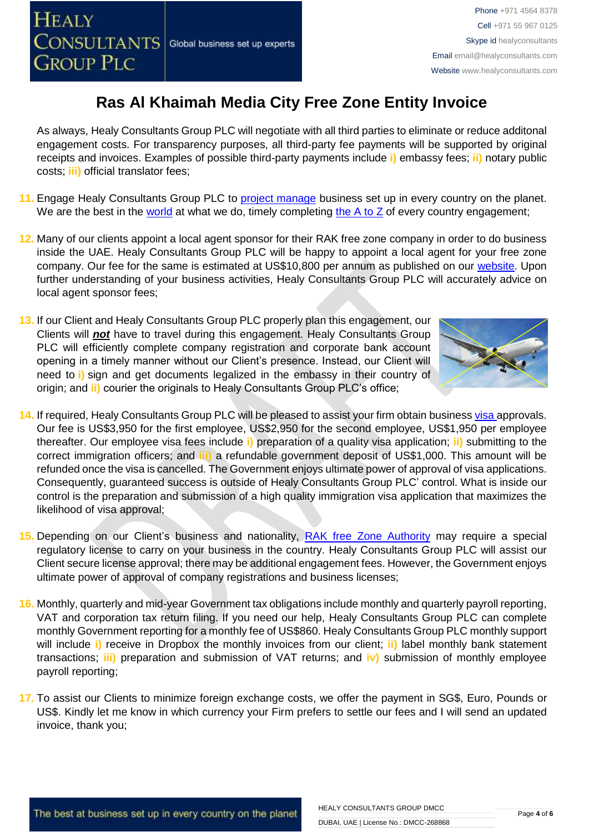- 11. Engage Healy Consultants Group PLC to [project manage](http://www.healyconsultants.com/project-manage-engagements/) business set up in every country on the planet. We are the best in the [world](http://www.healyconsultants.com/best-in-the-world/) at what we do, timely completing the  $A$  to  $Z$  of every country engagement;
- **12.** Many of our clients appoint a local agent sponsor for their RAK free zone company in order to do business inside the UAE. Healy Consultants Group PLC will be happy to appoint a local agent for your free zone company. Our fee for the same is estimated at US\$10,800 per annum as published on our [website.](http://www.healyconsultants.com/ras-al-khaimah-free-zone/) Upon further understanding of your business activities, Healy Consultants Group PLC will accurately advice on local agent sponsor fees;
- **13.** If our Client and Healy Consultants Group PLC properly plan this engagement, our Clients will *not* have to travel during this engagement. Healy Consultants Group PLC will efficiently complete company registration and corporate bank account opening in a timely manner without our Client's presence. Instead, our Client will need to **i)** sign and get documents legalized in the embassy in their country of origin; and **ii)** courier the originals to Healy Consultants Group PLC's office;
- **14.** If required, Healy Consultants Group PLC will be pleased to assist your firm obtain business [visa a](http://www.healyconsultants.com/support-services/)pprovals. Our fee is US\$3,950 for the first employee, US\$2,950 for the second employee, US\$1,950 per employee thereafter. Our employee visa fees include **i)** preparation of a quality visa application; **ii)** submitting to the correct immigration officers; and **iii)** a refundable government deposit of US\$1,000. This amount will be refunded once the visa is cancelled. The Government enjoys ultimate power of approval of visa applications. Consequently, guaranteed success is outside of Healy Consultants Group PLC' control. What is inside our control is the preparation and submission of a high quality immigration visa application that maximizes the likelihood of visa approval;
- **15.** Depending on our Client's business and nationality, [RAK free Zone Authority](http://rakftz.com/Contact) may require a special regulatory license to carry on your business in the country. Healy Consultants Group PLC will assist our Client secure license approval; there may be additional engagement fees. However, the Government enjoys ultimate power of approval of company registrations and business licenses;
- **16.** Monthly, quarterly and mid-year Government tax obligations include monthly and quarterly payroll reporting, VAT and corporation tax return filing. If you need our help, Healy Consultants Group PLC can complete monthly Government reporting for a monthly fee of US\$860. Healy Consultants Group PLC monthly support will include **i)** receive in Dropbox the monthly invoices from our client; **ii)** label monthly bank statement transactions; **iii)** preparation and submission of VAT returns; and **iv)** submission of monthly employee payroll reporting;
- **17.** To assist our Clients to minimize foreign exchange costs, we offer the payment in SG\$, Euro, Pounds or US\$. Kindly let me know in which currency your Firm prefers to settle our fees and I will send an updated invoice, thank you;

Phone +971 4564 8378 Cell +971 55 967 0125 Skype id healyconsultants Email [email@healyconsultants.com](mailto:EMAIL@HEALYCONSULTANTS.COM) Website [www.healyconsultants.com](http://www.healyconsultants.com/)



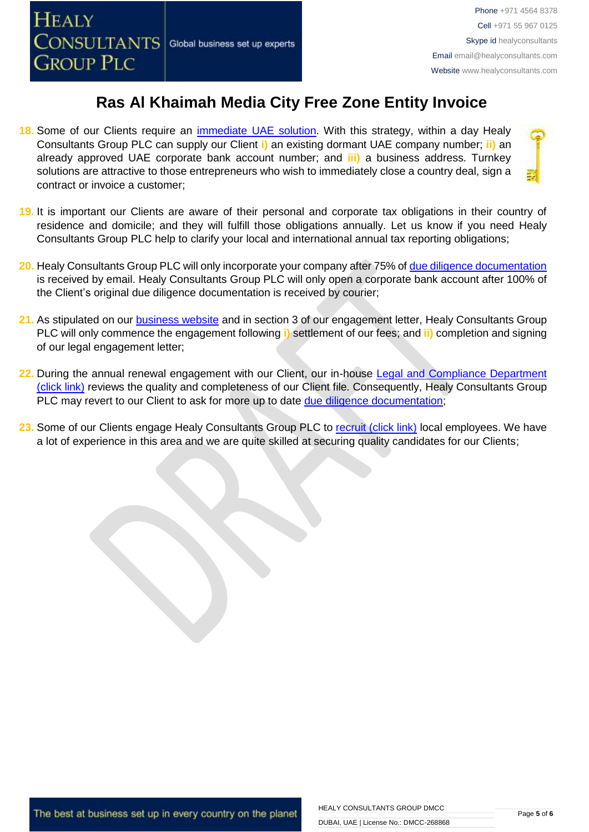**18.** Some of our Clients require an [immediate UAE](http://www.healyconsultants.com/turnkey-solutions/) solution. With this strategy, within a day Healy Consultants Group PLC can supply our Client **i)** an existing dormant UAE company number; **ii)** an already approved UAE corporate bank account number; and **iii)** a business address. Turnkey solutions are attractive to those entrepreneurs who wish to immediately close a country deal, sign a contract or invoice a customer;



- **19.** It is important our Clients are aware of their personal and corporate tax obligations in their country of residence and domicile; and they will fulfill those obligations annually. Let us know if you need Healy Consultants Group PLC help to clarify your local and international annual tax reporting obligations;
- **20.** Healy Consultants Group PLC will only incorporate your company after 75% of [due diligence documentation](http://www.healyconsultants.com/due-diligence/) is received by email. Healy Consultants Group PLC will only open a corporate bank account after 100% of the Client's original due diligence documentation is received by courier;
- **21.** As stipulated on our [business website](http://www.healyconsultants.com/) and in section 3 of our engagement letter, Healy Consultants Group PLC will only commence the engagement following **i)** settlement of our fees; and **ii)** completion and signing of our legal engagement letter;
- **22.** During the annual renewal engagement with our Client, our in-house [Legal and Compliance Department](http://www.healyconsultants.com/about-us/key-personnel/cai-xin-profile/)  [\(click link\)](http://www.healyconsultants.com/about-us/key-personnel/cai-xin-profile/) reviews the quality and completeness of our Client file. Consequently, Healy Consultants Group PLC may revert to our Client to ask for more up to date [due diligence documentation;](http://www.healyconsultants.com/due-diligence/)
- 23. Some of our Clients engage Healy Consultants Group PLC to [recruit \(click link\)](http://www.healyconsultants.com/corporate-outsourcing-services/how-we-help-our-clients-recruit-quality-employees/) local employees. We have a lot of experience in this area and we are quite skilled at securing quality candidates for our Clients;